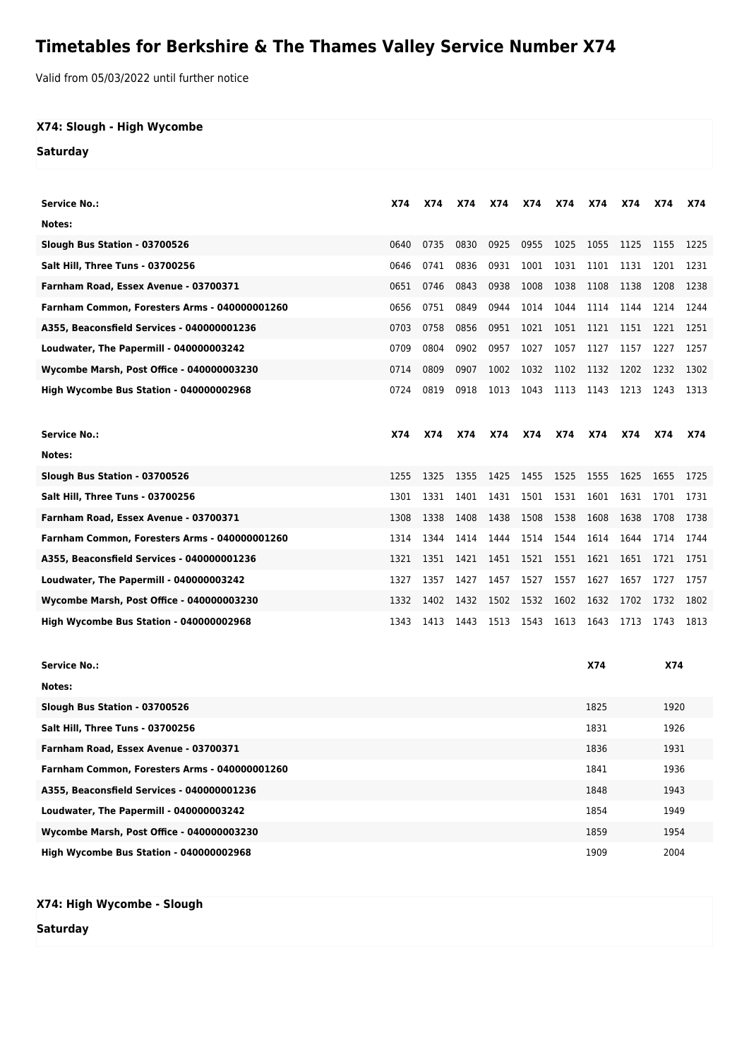## **Timetables for Berkshire & The Thames Valley Service Number X74**

Valid from 05/03/2022 until further notice

## **X74: Slough - High Wycombe**

**Saturday**

| <b>Service No.:</b>                           | <b>X74</b> | X74  | <b>X74</b> | X74  | X74  | X74  | X74        | X74  | X74        | <b>X74</b> |
|-----------------------------------------------|------------|------|------------|------|------|------|------------|------|------------|------------|
| Notes:                                        |            |      |            |      |      |      |            |      |            |            |
|                                               |            |      |            |      |      |      |            |      |            |            |
| Slough Bus Station - 03700526                 | 0640       | 0735 | 0830       | 0925 | 0955 | 1025 | 1055       | 1125 | 1155       | 1225       |
| <b>Salt Hill, Three Tuns - 03700256</b>       | 0646       | 0741 | 0836       | 0931 | 1001 | 1031 | 1101       | 1131 | 1201       | 1231       |
| Farnham Road, Essex Avenue - 03700371         | 0651       | 0746 | 0843       | 0938 | 1008 | 1038 | 1108       | 1138 | 1208       | 1238       |
| Farnham Common, Foresters Arms - 040000001260 | 0656       | 0751 | 0849       | 0944 | 1014 | 1044 | 1114       | 1144 | 1214       | 1244       |
| A355, Beaconsfield Services - 040000001236    | 0703       | 0758 | 0856       | 0951 | 1021 | 1051 | 1121       | 1151 | 1221       | 1251       |
| Loudwater, The Papermill - 040000003242       | 0709       | 0804 | 0902       | 0957 | 1027 | 1057 | 1127       | 1157 | 1227       | 1257       |
| Wycombe Marsh, Post Office - 040000003230     | 0714       | 0809 | 0907       | 1002 | 1032 | 1102 | 1132       | 1202 | 1232       | 1302       |
| High Wycombe Bus Station - 040000002968       | 0724       | 0819 | 0918       | 1013 | 1043 | 1113 | 1143       | 1213 | 1243       | 1313       |
|                                               |            |      |            |      |      |      |            |      |            |            |
| <b>Service No.:</b>                           | X74        | X74  | X74        | X74  | X74  | X74  | X74        | X74  | X74        | <b>X74</b> |
| Notes:                                        |            |      |            |      |      |      |            |      |            |            |
| Slough Bus Station - 03700526                 | 1255       | 1325 | 1355       | 1425 | 1455 | 1525 | 1555       | 1625 | 1655       | 1725       |
| <b>Salt Hill, Three Tuns - 03700256</b>       | 1301       | 1331 | 1401       | 1431 | 1501 | 1531 | 1601       | 1631 | 1701       | 1731       |
| Farnham Road, Essex Avenue - 03700371         | 1308       | 1338 | 1408       | 1438 | 1508 | 1538 | 1608       | 1638 | 1708       | 1738       |
| Farnham Common, Foresters Arms - 040000001260 | 1314       | 1344 | 1414       | 1444 | 1514 | 1544 | 1614       | 1644 | 1714       | 1744       |
| A355, Beaconsfield Services - 040000001236    | 1321       | 1351 | 1421       | 1451 | 1521 | 1551 | 1621       | 1651 | 1721       | 1751       |
| Loudwater, The Papermill - 040000003242       | 1327       | 1357 | 1427       | 1457 | 1527 | 1557 | 1627       | 1657 | 1727       | 1757       |
| Wycombe Marsh, Post Office - 040000003230     | 1332       | 1402 | 1432       | 1502 | 1532 | 1602 | 1632       | 1702 | 1732       | 1802       |
| High Wycombe Bus Station - 040000002968       | 1343       | 1413 | 1443       | 1513 | 1543 | 1613 | 1643       | 1713 | 1743       | 1813       |
|                                               |            |      |            |      |      |      |            |      |            |            |
| <b>Service No.:</b>                           |            |      |            |      |      |      | <b>X74</b> |      | <b>X74</b> |            |
| Notes:                                        |            |      |            |      |      |      |            |      |            |            |
| Slough Bus Station - 03700526                 |            |      |            |      |      |      | 1825       | 1920 |            |            |
| <b>Salt Hill, Three Tuns - 03700256</b>       |            |      |            |      |      |      | 1831       | 1926 |            |            |
| Farnham Road, Essex Avenue - 03700371         |            |      |            |      |      |      | 1836       |      | 1931       |            |
| Farnham Common, Foresters Arms - 040000001260 |            |      |            |      |      |      | 1841       | 1936 |            |            |
| A355, Beaconsfield Services - 040000001236    |            |      |            |      |      |      | 1848       |      | 1943       |            |

**Loudwater, The Papermill - 040000003242** 1854 1949 **Wycombe Marsh, Post Office - 040000003230** 1954

```
X74: High Wycombe - Slough
```
**Saturday**